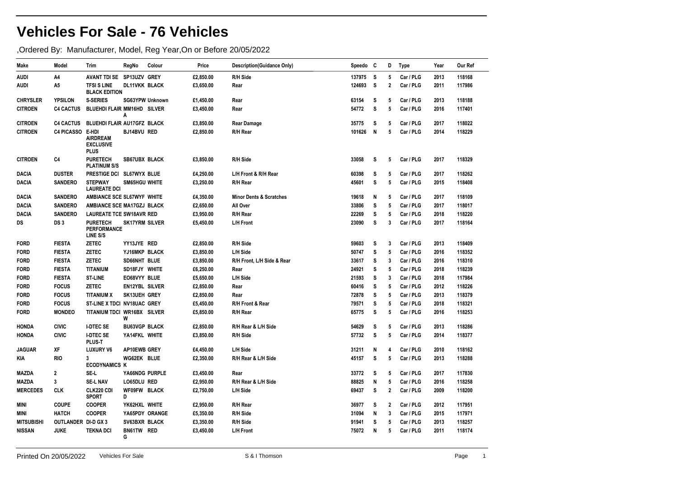## **Vehicles For Sale - 76 Vehicles**

,Ordered By: Manufacturer, Model, Reg Year,On or Before 20/05/2022

| Make              | Model                      | Trim                                                        | RegNo                 | Colour          | Price     | <b>Description(Guidance Only)</b>  | Speedo | - C | D              | <b>Type</b> | Year | Our Ref |
|-------------------|----------------------------|-------------------------------------------------------------|-----------------------|-----------------|-----------|------------------------------------|--------|-----|----------------|-------------|------|---------|
| AUDI              | A4                         | AVANT TDI SE SP13UZV GREY                                   |                       |                 | £2,850.00 | R/H Side                           | 137975 | s   | 5              | Car / PLG   | 2013 | 118168  |
| AUDI              | A5                         | <b>TFSI S LINE</b><br><b>BLACK EDITION</b>                  | <b>DL11VKK BLACK</b>  |                 | £3,650.00 | Rear                               | 124693 | s   | $\overline{2}$ | Car / PLG   | 2011 | 117986  |
| <b>CHRYSLER</b>   | <b>YPSILON</b>             | <b>S-SERIES</b>                                             |                       | SG63YPW Unknown | £1,450.00 | Rear                               | 63154  | s   | 5              | Car / PLG   | 2013 | 118188  |
| <b>CITROEN</b>    | <b>C4 CACTUS</b>           | BLUEHDI FLAIR MM16HD SILVER                                 | A                     |                 | £3,450.00 | Rear                               | 54772  | S   | 5              | Car / PLG   | 2016 | 117401  |
| <b>CITROEN</b>    | <b>C4 CACTUS</b>           | BLUEHDI FLAIR AU17GFZ BLACK                                 |                       |                 | £3,850.00 | <b>Rear Damage</b>                 | 35775  | s   | 5              | Car / PLG   | 2017 | 118022  |
| <b>CITROEN</b>    | <b>C4 PICASSO</b>          | E-HDI<br><b>AIRDREAM</b><br><b>EXCLUSIVE</b><br><b>PLUS</b> | BJ14BVU RED           |                 | £2,850.00 | R/H Rear                           | 101626 | N   | 5              | Car / PLG   | 2014 | 118229  |
| <b>CITROEN</b>    | C4                         | <b>PURETECH</b><br><b>PLATINUM S/S</b>                      | <b>SB67UBX BLACK</b>  |                 | £3,850.00 | R/H Side                           | 33058  | s   | 5              | Car / PLG   | 2017 | 118329  |
| <b>DACIA</b>      | <b>DUSTER</b>              | PRESTIGE DCI SL67WYX BLUE                                   |                       |                 | £4,250.00 | L/H Front & R/H Rear               | 60398  | s   | 5              | Car / PLG   | 2017 | 118262  |
| DACIA             | <b>SANDERO</b>             | <b>STEPWAY</b><br><b>LAUREATE DCI</b>                       | SM65HGU WHITE         |                 | £3,250.00 | R/H Rear                           | 45601  | s   | 5              | Car / PLG   | 2015 | 118408  |
| DACIA             | <b>SANDERO</b>             | AMBIANCE SCE SL67WYF WHITE                                  |                       |                 | £4,350.00 | <b>Minor Dents &amp; Scratches</b> | 19618  | N   | 5              | Car / PLG   | 2017 | 118109  |
| <b>DACIA</b>      | <b>SANDERO</b>             | AMBIANCE SCE MA17GZJ BLACK                                  |                       |                 | £2,650.00 | All Over                           | 33806  | s   | 5              | Car / PLG   | 2017 | 118017  |
| DACIA             | <b>SANDERO</b>             | <b>LAUREATE TCE SW18AVR RED</b>                             |                       |                 | £3,950.00 | R/H Rear                           | 22269  | s   | 5              | Car / PLG   | 2018 | 118220  |
| DS                | DS <sub>3</sub>            | <b>PURETECH</b><br><b>PERFORMANCE</b><br>LINE S/S           | <b>SK17YRM SILVER</b> |                 | £5,450.00 | <b>L/H Front</b>                   | 23090  | S   | 3              | Car / PLG   | 2017 | 118164  |
| <b>FORD</b>       | <b>FIESTA</b>              | <b>ZETEC</b>                                                | YY13JYE RED           |                 | £2,850.00 | R/H Side                           | 59603  | s   | 3              | Car / PLG   | 2013 | 118409  |
| <b>FORD</b>       | <b>FIESTA</b>              | <b>ZETEC</b>                                                | YJ16MKP BLACK         |                 | £3,850.00 | L/H Side                           | 50747  | s   | 5              | Car / PLG   | 2016 | 118352  |
| <b>FORD</b>       | <b>FIESTA</b>              | <b>ZETEC</b>                                                | SD66NHT BLUE          |                 | £3,850.00 | R/H Front, L/H Side & Rear         | 33617  | s   | 3              | Car / PLG   | 2016 | 118310  |
| <b>FORD</b>       | <b>FIESTA</b>              | <b>TITANIUM</b>                                             | SD18FJY WHITE         |                 | £6,250.00 | Rear                               | 24921  | s   | 5              | Car / PLG   | 2018 | 118239  |
| <b>FORD</b>       | <b>FIESTA</b>              | ST-LINE                                                     | EO68VYY BLUE          |                 | £5,650.00 | L/H Side                           | 21593  | s   | 3              | Car / PLG   | 2018 | 117984  |
| <b>FORD</b>       | <b>FOCUS</b>               | ZETEC                                                       | EN12YBL SILVER        |                 | £2,850.00 | Rear                               | 60416  | s   | 5              | Car / PLG   | 2012 | 118226  |
| <b>FORD</b>       | <b>FOCUS</b>               | <b>TITANIUM X</b>                                           | SK13UEH GREY          |                 | £2,850.00 | Rear                               | 72878  | s   | 5              | Car / PLG   | 2013 | 118379  |
| <b>FORD</b>       | <b>FOCUS</b>               | ST-LINE X TDCI NV18UAC GREY                                 |                       |                 | £5,450.00 | <b>R/H Front &amp; Rear</b>        | 79571  | s   | 5              | Car / PLG   | 2018 | 118321  |
| <b>FORD</b>       | <b>MONDEO</b>              | TITANIUM TDCI WR16BX SILVER                                 | W                     |                 | £5,850.00 | R/H Rear                           | 65775  | s   | 5              | Car / PLG   | 2016 | 118253  |
| <b>HONDA</b>      | <b>CIVIC</b>               | <b>I-DTEC SE</b>                                            | <b>BU63VGP BLACK</b>  |                 | £2,850.00 | R/H Rear & L/H Side                | 54629  | S   | 5              | Car / PLG   | 2013 | 118286  |
| HONDA             | <b>CIVIC</b>               | <b>I-DTEC SE</b><br>PLUS-T                                  | YA14FKL WHITE         |                 | £3,850.00 | R/H Side                           | 57732  | s   | 5              | Car / PLG   | 2014 | 118377  |
| <b>JAGUAR</b>     | XF                         | <b>LUXURY V6</b>                                            | AP10EWB GREY          |                 | £4,450.00 | L/H Side                           | 31211  | N   | 4              | Car / PLG   | 2010 | 118162  |
| KIA               | <b>RIO</b>                 | 3<br><b>ECODYNAMICS K</b>                                   | WG62EK BLUE           |                 | £2,350.00 | R/H Rear & L/H Side                | 45157  | s   | 5              | Car / PLG   | 2013 | 118288  |
| <b>MAZDA</b>      | $\overline{\mathbf{2}}$    | SE-L                                                        |                       | YA66NDG PURPLE  | £3,450.00 | Rear                               | 33772  | s   | 5              | Car / PLG   | 2017 | 117830  |
| <b>MAZDA</b>      | 3                          | <b>SE-L NAV</b>                                             | LO65DLU RED           |                 | £2,950.00 | R/H Rear & L/H Side                | 88825  | N   | 5              | Car / PLG   | 2016 | 118258  |
| <b>MERCEDES</b>   | <b>CLK</b>                 | CLK220 CDI<br><b>SPORT</b>                                  | WF09FW BLACK<br>D     |                 | £2,750.00 | L/H Side                           | 69437  | s   | $\mathbf{2}$   | Car / PLG   | 2009 | 118200  |
| MINI              | <b>COUPE</b>               | <b>COOPER</b>                                               | YK62HXL WHITE         |                 | £2,950.00 | R/H Rear                           | 36977  | s   | $\mathbf{2}$   | Car / PLG   | 2012 | 117951  |
| MINI              | <b>HATCH</b>               | <b>COOPER</b>                                               |                       | YA65PDY ORANGE  | £5,350.00 | R/H Side                           | 31094  | N   | 3              | Car / PLG   | 2015 | 117971  |
| <b>MITSUBISHI</b> | <b>OUTLANDER DI-D GX 3</b> |                                                             | SV63BXR BLACK         |                 | £3,350.00 | R/H Side                           | 91941  | s   | 5              | Car / PLG   | 2013 | 118257  |
| <b>NISSAN</b>     | <b>JUKE</b>                | <b>TEKNA DCI</b>                                            | BN61TW RED<br>G       |                 | £3,450.00 | L/H Front                          | 75072  | N   | 5              | Car / PLG   | 2011 | 118174  |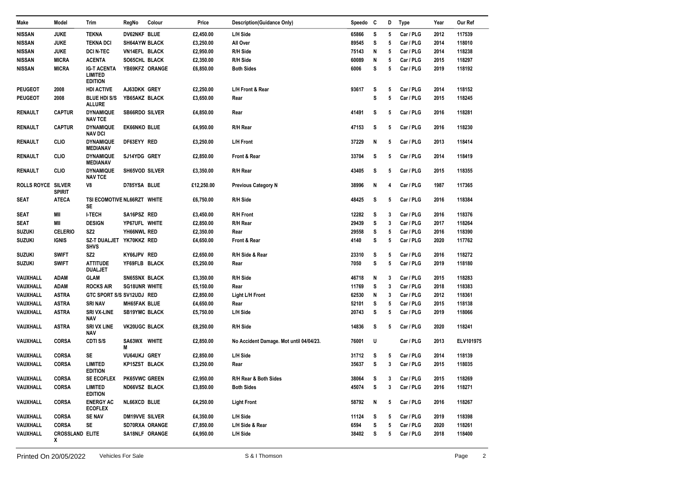| Make                      | Model                       | Trim                                                   | RegNo                 | Colour         | Price      | <b>Description(Guidance Only)</b>       | Speedo C |   | D | <b>Type</b> | Year | Our Ref   |
|---------------------------|-----------------------------|--------------------------------------------------------|-----------------------|----------------|------------|-----------------------------------------|----------|---|---|-------------|------|-----------|
| <b>NISSAN</b>             | <b>JUKE</b>                 | <b>TEKNA</b>                                           | DV62NKF BLUE          |                | £2,450.00  | L/H Side                                | 65866    | s | 5 | Car / PLG   | 2012 | 117539    |
| <b>NISSAN</b>             | <b>JUKE</b>                 | <b>TEKNA DCI</b>                                       | SH64AYW BLACK         |                | £3,250.00  | All Over                                | 89545    | s | 5 | Car / PLG   | 2014 | 118010    |
| <b>NISSAN</b>             | <b>JUKE</b>                 | <b>DCI N-TEC</b>                                       | VN14EFL BLACK         |                | £2,950.00  | R/H Side                                | 75143    | N | 5 | Car / PLG   | 2014 | 118238    |
| <b>NISSAN</b>             | <b>MICRA</b>                | <b>ACENTA</b>                                          | SO65CHL BLACK         |                | £2,350.00  | R/H Side                                | 60089    | N | 5 | Car / PLG   | 2015 | 118297    |
| NISSAN                    | <b>MICRA</b>                | <b>IG-T ACENTA</b><br><b>LIMITED</b><br><b>EDITION</b> |                       | YB69KFZ ORANGE | £6,850.00  | <b>Both Sides</b>                       | 6006     | s | 5 | Car / PLG   | 2019 | 118192    |
| <b>PEUGEOT</b>            | 2008                        | <b>HDI ACTIVE</b>                                      | AJ63DKK GREY          |                | £2,250.00  | L/H Front & Rear                        | 93617    | s | 5 | Car / PLG   | 2014 | 118152    |
| <b>PEUGEOT</b>            | 2008                        | <b>BLUE HDI S/S</b><br><b>ALLURE</b>                   | YB65AKZ BLACK         |                | £3,650.00  | Rear                                    |          | s | 5 | Car / PLG   | 2015 | 118245    |
| <b>RENAULT</b>            | <b>CAPTUR</b>               | <b>DYNAMIQUE</b><br><b>NAV TCE</b>                     | <b>SB66RDO SILVER</b> |                | £4,850.00  | Rear                                    | 41491    | s | 5 | Car / PLG   | 2016 | 118281    |
| <b>RENAULT</b>            | <b>CAPTUR</b>               | <b>DYNAMIQUE</b><br><b>NAV DCI</b>                     | <b>EK66NKO BLUE</b>   |                | £4.950.00  | R/H Rear                                | 47153    | s | 5 | Car / PLG   | 2016 | 118230    |
| <b>RENAULT</b>            | <b>CLIO</b>                 | <b>DYNAMIQUE</b><br><b>MEDIANAV</b>                    | DF63EYY RED           |                | £3,250.00  | L/H Front                               | 37229    | N | 5 | Car / PLG   | 2013 | 118414    |
| RENAULT                   | CLIO                        | <b>DYNAMIQUE</b><br><b>MEDIANAV</b>                    | SJ14YDG GREY          |                | £2,850.00  | Front & Rear                            | 33704    | s | 5 | Car / PLG   | 2014 | 118419    |
| RENAULT                   | CLIO                        | <b>DYNAMIQUE</b><br><b>NAV TCE</b>                     | SH65VOD SILVER        |                | £3,350.00  | R/H Rear                                | 43405    | s | 5 | Car / PLG   | 2015 | 118355    |
| <b>ROLLS ROYCE SILVER</b> | <b>SPIRIT</b>               | V8                                                     | D785YSA BLUE          |                | £12,250.00 | <b>Previous Category N</b>              | 38996    | N | 4 | Car / PLG   | 1987 | 117365    |
| SEAT                      | ATECA                       | TSI ECOMOTIVE NL66RZT WHITE<br>SE                      |                       |                | £6,750.00  | R/H Side                                | 48425    | s | 5 | Car / PLG   | 2016 | 118384    |
| <b>SEAT</b>               | МII                         | <b>I-TECH</b>                                          | SA16PSZ RED           |                | £3,450.00  | <b>R/H Front</b>                        | 12282    | s | 3 | Car / PLG   | 2016 | 118376    |
| SEAT                      | МII                         | <b>DESIGN</b>                                          | YP67UFL WHITE         |                | £2,850.00  | R/H Rear                                | 29439    | s | 3 | Car / PLG   | 2017 | 118264    |
| SUZUKI                    | <b>CELERIO</b>              | SZ <sub>2</sub>                                        | YH66NWL RED           |                | £2,350.00  | Rear                                    | 29558    | s | 5 | Car / PLG   | 2016 | 118390    |
| <b>SUZUKI</b>             | <b>IGNIS</b>                | SZ-T DUALJET YK70KKZ RED<br><b>SHVS</b>                |                       |                | £4,650.00  | Front & Rear                            | 4140     | s | 5 | Car / PLG   | 2020 | 117762    |
| SUZUKI                    | <b>SWIFT</b>                | SZ <sub>2</sub>                                        | KY66JPV RED           |                | £2,650.00  | R/H Side & Rear                         | 23310    | s | 5 | Car / PLG   | 2016 | 118272    |
| SUZUKI                    | <b>SWIFT</b>                | <b>ATTITUDE</b><br><b>DUALJET</b>                      | YF69FLB BLACK         |                | £5,250.00  | Rear                                    | 7050     | s | 5 | Car / PLG   | 2019 | 118180    |
| VAUXHALL                  | <b>ADAM</b>                 | <b>GLAM</b>                                            | SN65SNX BLACK         |                | £3,350.00  | R/H Side                                | 46718    | N | 3 | Car / PLG   | 2015 | 118283    |
| VAUXHALL                  | <b>ADAM</b>                 | <b>ROCKS AIR</b>                                       | <b>SG18UNR WHITE</b>  |                | £5,150.00  | Rear                                    | 11769    | s | 3 | Car / PLG   | 2018 | 118383    |
| VAUXHALL                  | <b>ASTRA</b>                | GTC SPORT S/S SV12UDJ RED                              |                       |                | £2,850.00  | Light L/H Front                         | 62530    | N | 3 | Car / PLG   | 2012 | 118361    |
| VAUXHALL                  | <b>ASTRA</b>                | <b>SRI NAV</b>                                         | MH65FAK BLUE          |                | £4,650.00  | Rear                                    | 52101    | s | 5 | Car / PLG   | 2015 | 118138    |
| VAUXHALL                  | <b>ASTRA</b>                | <b>SRI VX-LINE</b><br><b>NAV</b>                       | <b>SB19YMC BLACK</b>  |                | £5,750.00  | L/H Side                                | 20743    | s | 5 | Car / PLG   | 2019 | 118066    |
| VAUXHALL                  | <b>ASTRA</b>                | <b>SRI VX LINE</b><br><b>NAV</b>                       | VK20UGC BLACK         |                | £8,250.00  | R/H Side                                | 14836    | s | 5 | Car / PLG   | 2020 | 118241    |
| VAUXHALL                  | <b>CORSA</b>                | <b>CDTIS/S</b>                                         | SA63WX WHITE<br>M     |                | £2,850.00  | No Accident Damage. Mot until 04/04/23. | 76001    | U |   | Car / PLG   | 2013 | ELV101975 |
| VAUXHALL                  | <b>CORSA</b>                | SE                                                     | <b>VU64UKJ GREY</b>   |                | £2,850.00  | L/H Side                                | 31712    | s | 5 | Car / PLG   | 2014 | 118139    |
| VAUXHALL                  | <b>CORSA</b>                | <b>LIMITED</b><br><b>EDITION</b>                       | KP15ZST BLACK         |                | £3,250.00  | Rear                                    | 35637    | s | 3 | Car / PLG   | 2015 | 118035    |
| VAUXHALL                  | <b>CORSA</b>                | <b>SE ECOFLEX</b>                                      | <b>PK65VWC GREEN</b>  |                | £2,950.00  | R/H Rear & Both Sides                   | 38064    | s | 3 | Car / PLG   | 2015 | 118269    |
| VAUXHALL                  | <b>CORSA</b>                | <b>LIMITED</b><br><b>EDITION</b>                       | ND66VSZ BLACK         |                | £3,850.00  | <b>Both Sides</b>                       | 45074    | s | 3 | Car / PLG   | 2016 | 118271    |
| VAUXHALL                  | <b>CORSA</b>                | <b>ENERGY AC</b><br><b>ECOFLEX</b>                     | NL66XCD BLUE          |                | £4,250.00  | <b>Light Front</b>                      | 58792    | N | 5 | Car / PLG   | 2016 | 118267    |
| VAUXHALL                  | <b>CORSA</b>                | <b>SENAV</b>                                           | <b>DM19VVE SILVER</b> |                | £4,350.00  | L/H Side                                | 11124    | s | 5 | Car / PLG   | 2019 | 118398    |
| VAUXHALL                  | <b>CORSA</b>                | SE                                                     |                       | SD70RXA ORANGE | £7,850.00  | L/H Side & Rear                         | 6594     | s | 5 | Car / PLG   | 2020 | 118261    |
| VAUXHALL                  | <b>CROSSLAND ELITE</b><br>x |                                                        |                       | SA18NLF ORANGE | £4,950.00  | L/H Side                                | 38402    | s | 5 | Car / PLG   | 2018 | 118400    |